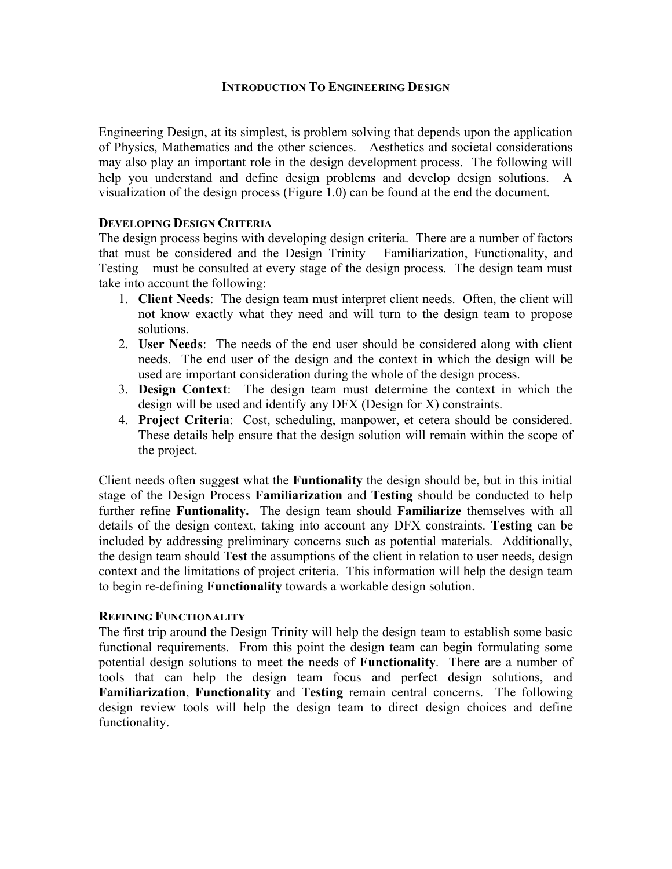## **INTRODUCTION TO ENGINEERING DESIGN**

Engineering Design, at its simplest, is problem solving that depends upon the application of Physics, Mathematics and the other sciences. Aesthetics and societal considerations may also play an important role in the design development process. The following will help you understand and define design problems and develop design solutions. A visualization of the design process (Figure 1.0) can be found at the end the document.

### **DEVELOPING DESIGN CRITERIA**

The design process begins with developing design criteria. There are a number of factors that must be considered and the Design Trinity – Familiarization, Functionality, and Testing – must be consulted at every stage of the design process. The design team must take into account the following:

- 1. **Client Needs**: The design team must interpret client needs. Often, the client will not know exactly what they need and will turn to the design team to propose solutions.
- 2. **User Needs**: The needs of the end user should be considered along with client needs. The end user of the design and the context in which the design will be used are important consideration during the whole of the design process.
- 3. **Design Context**: The design team must determine the context in which the design will be used and identify any DFX (Design for X) constraints.
- 4. **Project Criteria**: Cost, scheduling, manpower, et cetera should be considered. These details help ensure that the design solution will remain within the scope of the project.

Client needs often suggest what the **Funtionality** the design should be, but in this initial stage of the Design Process **Familiarization** and **Testing** should be conducted to help further refine **Funtionality.** The design team should **Familiarize** themselves with all details of the design context, taking into account any DFX constraints. **Testing** can be included by addressing preliminary concerns such as potential materials. Additionally, the design team should **Test** the assumptions of the client in relation to user needs, design context and the limitations of project criteria. This information will help the design team to begin re-defining **Functionality** towards a workable design solution.

#### **REFINING FUNCTIONALITY**

The first trip around the Design Trinity will help the design team to establish some basic functional requirements. From this point the design team can begin formulating some potential design solutions to meet the needs of **Functionality**. There are a number of tools that can help the design team focus and perfect design solutions, and **Familiarization**, **Functionality** and **Testing** remain central concerns. The following design review tools will help the design team to direct design choices and define functionality.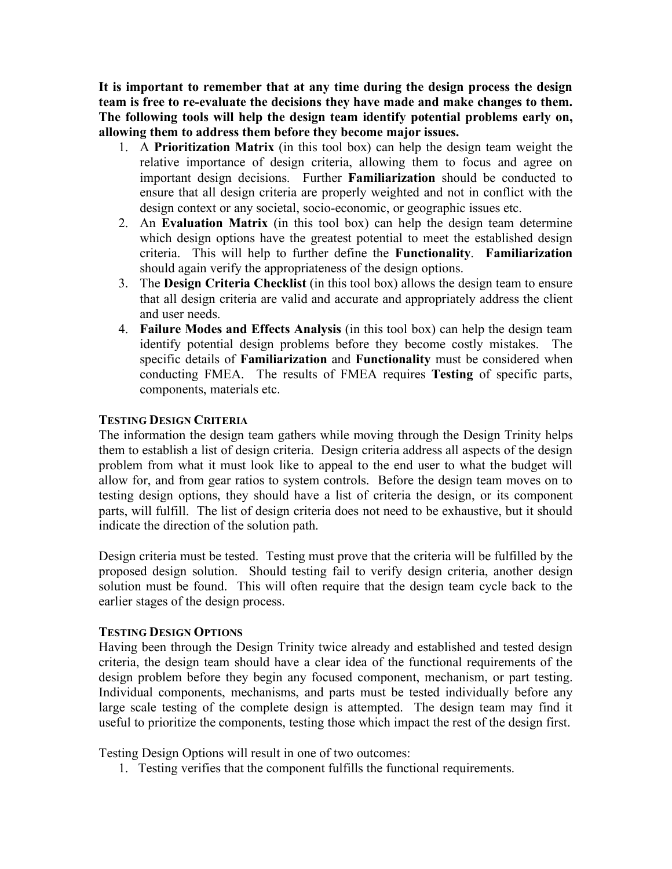**It is important to remember that at any time during the design process the design team is free to re-evaluate the decisions they have made and make changes to them. The following tools will help the design team identify potential problems early on, allowing them to address them before they become major issues.**

- 1. A **Prioritization Matrix** (in this tool box) can help the design team weight the relative importance of design criteria, allowing them to focus and agree on important design decisions. Further **Familiarization** should be conducted to ensure that all design criteria are properly weighted and not in conflict with the design context or any societal, socio-economic, or geographic issues etc.
- 2. An **Evaluation Matrix** (in this tool box) can help the design team determine which design options have the greatest potential to meet the established design criteria. This will help to further define the **Functionality**. **Familiarization** should again verify the appropriateness of the design options.
- 3. The **Design Criteria Checklist** (in this tool box) allows the design team to ensure that all design criteria are valid and accurate and appropriately address the client and user needs.
- 4. **Failure Modes and Effects Analysis** (in this tool box) can help the design team identify potential design problems before they become costly mistakes. The specific details of **Familiarization** and **Functionality** must be considered when conducting FMEA. The results of FMEA requires **Testing** of specific parts, components, materials etc.

# **TESTING DESIGN CRITERIA**

The information the design team gathers while moving through the Design Trinity helps them to establish a list of design criteria. Design criteria address all aspects of the design problem from what it must look like to appeal to the end user to what the budget will allow for, and from gear ratios to system controls. Before the design team moves on to testing design options, they should have a list of criteria the design, or its component parts, will fulfill. The list of design criteria does not need to be exhaustive, but it should indicate the direction of the solution path.

Design criteria must be tested. Testing must prove that the criteria will be fulfilled by the proposed design solution. Should testing fail to verify design criteria, another design solution must be found. This will often require that the design team cycle back to the earlier stages of the design process.

## **TESTING DESIGN OPTIONS**

Having been through the Design Trinity twice already and established and tested design criteria, the design team should have a clear idea of the functional requirements of the design problem before they begin any focused component, mechanism, or part testing. Individual components, mechanisms, and parts must be tested individually before any large scale testing of the complete design is attempted. The design team may find it useful to prioritize the components, testing those which impact the rest of the design first.

Testing Design Options will result in one of two outcomes:

1. Testing verifies that the component fulfills the functional requirements.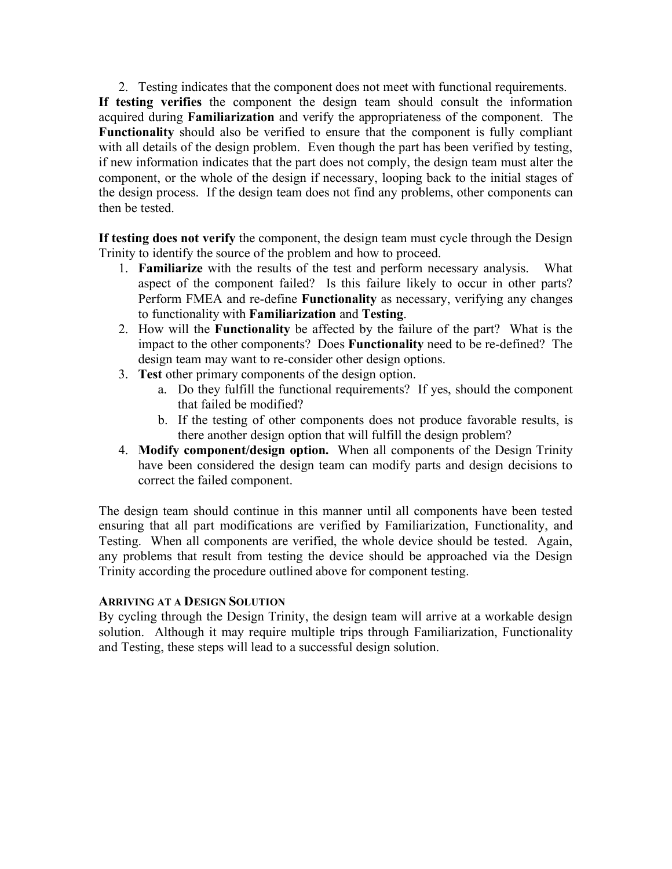2. Testing indicates that the component does not meet with functional requirements. **If testing verifies** the component the design team should consult the information acquired during **Familiarization** and verify the appropriateness of the component. The **Functionality** should also be verified to ensure that the component is fully compliant with all details of the design problem. Even though the part has been verified by testing, if new information indicates that the part does not comply, the design team must alter the component, or the whole of the design if necessary, looping back to the initial stages of the design process. If the design team does not find any problems, other components can then be tested.

**If testing does not verify** the component, the design team must cycle through the Design Trinity to identify the source of the problem and how to proceed.

- 1. **Familiarize** with the results of the test and perform necessary analysis. What aspect of the component failed? Is this failure likely to occur in other parts? Perform FMEA and re-define **Functionality** as necessary, verifying any changes to functionality with **Familiarization** and **Testing**.
- 2. How will the **Functionality** be affected by the failure of the part? What is the impact to the other components? Does **Functionality** need to be re-defined? The design team may want to re-consider other design options.
- 3. **Test** other primary components of the design option.
	- a. Do they fulfill the functional requirements? If yes, should the component that failed be modified?
	- b. If the testing of other components does not produce favorable results, is there another design option that will fulfill the design problem?
- 4. **Modify component/design option.** When all components of the Design Trinity have been considered the design team can modify parts and design decisions to correct the failed component.

The design team should continue in this manner until all components have been tested ensuring that all part modifications are verified by Familiarization, Functionality, and Testing. When all components are verified, the whole device should be tested. Again, any problems that result from testing the device should be approached via the Design Trinity according the procedure outlined above for component testing.

## **ARRIVING AT A DESIGN SOLUTION**

By cycling through the Design Trinity, the design team will arrive at a workable design solution. Although it may require multiple trips through Familiarization, Functionality and Testing, these steps will lead to a successful design solution.